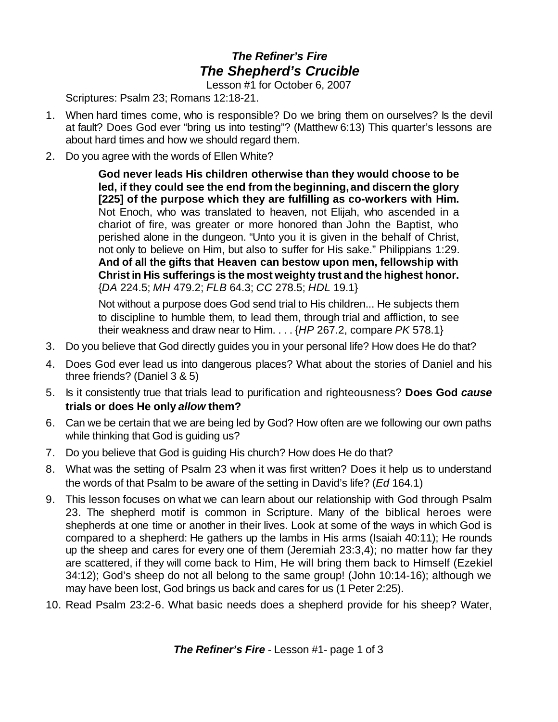## *The Refiner's Fire The Shepherd's Crucible*

Lesson #1 for October 6, 2007

Scriptures: Psalm 23; Romans 12:18-21.

- 1. When hard times come, who is responsible? Do we bring them on ourselves? Is the devil at fault? Does God ever "bring us into testing"? (Matthew 6:13) This quarter's lessons are about hard times and how we should regard them.
- 2. Do you agree with the words of Ellen White?

**God never leads His children otherwise than they would choose to be led, if they could see the end from the beginning,and discern the glory [225] of the purpose which they are fulfilling as co-workers with Him.** Not Enoch, who was translated to heaven, not Elijah, who ascended in a chariot of fire, was greater or more honored than John the Baptist, who perished alone in the dungeon. "Unto you it is given in the behalf of Christ, not only to believe on Him, but also to suffer for His sake." Philippians 1:29. **And of all the gifts that Heaven can bestow upon men, fellowship with Christ in His sufferings is the most weighty trust and the highest honor.** {*DA* 224.5; *MH* 479.2; *FLB* 64.3; *CC* 278.5; *HDL* 19.1}

Not without a purpose does God send trial to His children... He subjects them to discipline to humble them, to lead them, through trial and affliction, to see their weakness and draw near to Him. . . . {*HP* 267.2, compare *PK* 578.1}

- 3. Do you believe that God directly guides you in your personal life? How does He do that?
- 4. Does God ever lead us into dangerous places? What about the stories of Daniel and his three friends? (Daniel 3 & 5)
- 5. Is it consistently true that trials lead to purification and righteousness? **Does God** *cause* **trials or does He only** *allow* **them?**
- 6. Can we be certain that we are being led by God? How often are we following our own paths while thinking that God is guiding us?
- 7. Do you believe that God is guiding His church? How does He do that?
- 8. What was the setting of Psalm 23 when it was first written? Does it help us to understand the words of that Psalm to be aware of the setting in David's life? (*Ed* 164.1)
- 9. This lesson focuses on what we can learn about our relationship with God through Psalm 23. The shepherd motif is common in Scripture. Many of the biblical heroes were shepherds at one time or another in their lives. Look at some of the ways in which God is compared to a shepherd: He gathers up the lambs in His arms (Isaiah 40:11); He rounds up the sheep and cares for every one of them (Jeremiah 23:3,4); no matter how far they are scattered, if they will come back to Him, He will bring them back to Himself (Ezekiel 34:12); God's sheep do not all belong to the same group! (John 10:14-16); although we may have been lost, God brings us back and cares for us (1 Peter 2:25).
- 10. Read Psalm 23:2-6. What basic needs does a shepherd provide for his sheep? Water,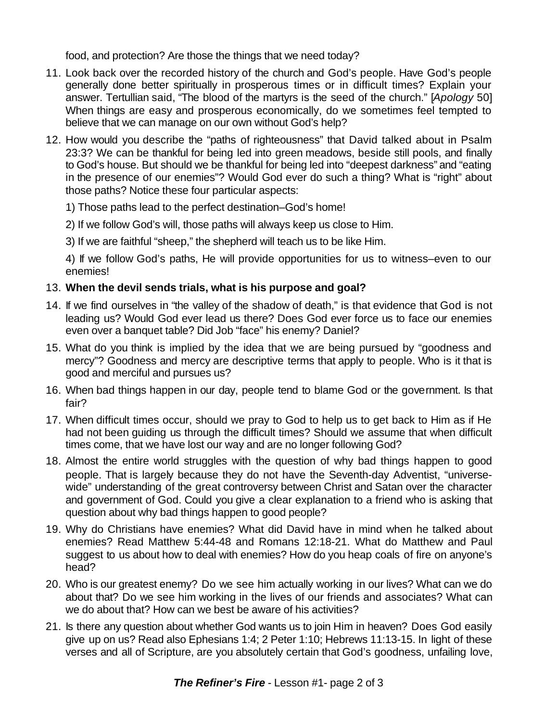food, and protection? Are those the things that we need today?

- 11. Look back over the recorded history of the church and God's people. Have God's people generally done better spiritually in prosperous times or in difficult times? Explain your answer. Tertullian said, "The blood of the martyrs is the seed of the church." [*Apology* 50] When things are easy and prosperous economically, do we sometimes feel tempted to believe that we can manage on our own without God's help?
- 12. How would you describe the "paths of righteousness" that David talked about in Psalm 23:3? We can be thankful for being led into green meadows, beside still pools, and finally to God's house. But should we be thankful for being led into "deepest darkness" and "eating in the presence of our enemies"? Would God ever do such a thing? What is "right" about those paths? Notice these four particular aspects:
	- 1) Those paths lead to the perfect destination–God's home!
	- 2) If we follow God's will, those paths will always keep us close to Him.
	- 3) If we are faithful "sheep," the shepherd will teach us to be like Him.

4) If we follow God's paths, He will provide opportunities for us to witness–even to our enemies!

## 13. **When the devil sends trials, what is his purpose and goal?**

- 14. If we find ourselves in "the valley of the shadow of death," is that evidence that God is not leading us? Would God ever lead us there? Does God ever force us to face our enemies even over a banquet table? Did Job "face" his enemy? Daniel?
- 15. What do you think is implied by the idea that we are being pursued by "goodness and mercy"? Goodness and mercy are descriptive terms that apply to people. Who is it that is good and merciful and pursues us?
- 16. When bad things happen in our day, people tend to blame God or the government. Is that fair?
- 17. When difficult times occur, should we pray to God to help us to get back to Him as if He had not been guiding us through the difficult times? Should we assume that when difficult times come, that we have lost our way and are no longer following God?
- 18. Almost the entire world struggles with the question of why bad things happen to good people. That is largely because they do not have the Seventh-day Adventist, "universewide" understanding of the great controversy between Christ and Satan over the character and government of God. Could you give a clear explanation to a friend who is asking that question about why bad things happen to good people?
- 19. Why do Christians have enemies? What did David have in mind when he talked about enemies? Read Matthew 5:44-48 and Romans 12:18-21. What do Matthew and Paul suggest to us about how to deal with enemies? How do you heap coals of fire on anyone's head?
- 20. Who is our greatest enemy? Do we see him actually working in our lives? What can we do about that? Do we see him working in the lives of our friends and associates? What can we do about that? How can we best be aware of his activities?
- 21. Is there any question about whether God wants us to join Him in heaven? Does God easily give up on us? Read also Ephesians 1:4; 2 Peter 1:10; Hebrews 11:13-15. In light of these verses and all of Scripture, are you absolutely certain that God's goodness, unfailing love,